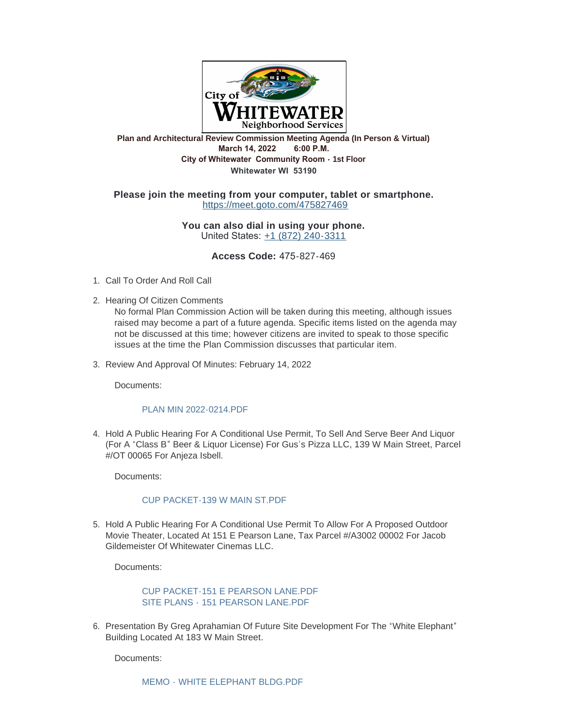

# **Plan and Architectural Review Commission Meeting Agenda (In Person & Virtual) March 14, 2022 6:00 P.M. City of Whitewater Community Room - 1st Floor Whitewater WI 53190**

### **Please join the meeting from your computer, tablet or smartphone.** <https://meet.goto.com/475827469>

#### **You can also dial in using your phone.** United States: [+1 \(872\) 240-3311](tel:+18722403311,,475827469)

#### **Access Code:** 475-827-469

- 1. Call To Order And Roll Call
- 2. Hearing Of Citizen Comments
	- No formal Plan Commission Action will be taken during this meeting, although issues raised may become a part of a future agenda. Specific items listed on the agenda may not be discussed at this time; however citizens are invited to speak to those specific issues at the time the Plan Commission discusses that particular item.
- 3. Review And Approval Of Minutes: February 14, 2022

Documents:

#### [PLAN MIN 2022-0214.PDF](https://www.whitewater-wi.gov/AgendaCenter/ViewFile/Item/5515?fileID=26038)

4. Hold A Public Hearing For A Conditional Use Permit, To Sell And Serve Beer And Liquor (For A "Class B" Beer & Liquor License) For Gus's Pizza LLC, 139 W Main Street, Parcel #/OT 00065 For Anjeza Isbell.

Documents:

#### [CUP PACKET-139 W MAIN ST.PDF](https://www.whitewater-wi.gov/AgendaCenter/ViewFile/Item/5510?fileID=26033)

5. Hold A Public Hearing For A Conditional Use Permit To Allow For A Proposed Outdoor Movie Theater, Located At 151 E Pearson Lane, Tax Parcel #/A3002 00002 For Jacob Gildemeister Of Whitewater Cinemas LLC.

Documents:

## [CUP PACKET-151 E PEARSON LANE.PDF](https://www.whitewater-wi.gov/AgendaCenter/ViewFile/Item/5511?fileID=26034) SITE PLANS - [151 PEARSON LANE.PDF](https://www.whitewater-wi.gov/AgendaCenter/ViewFile/Item/5511?fileID=26035)

6. Presentation By Greg Aprahamian Of Future Site Development For The "White Elephant" Building Located At 183 W Main Street.

Documents: